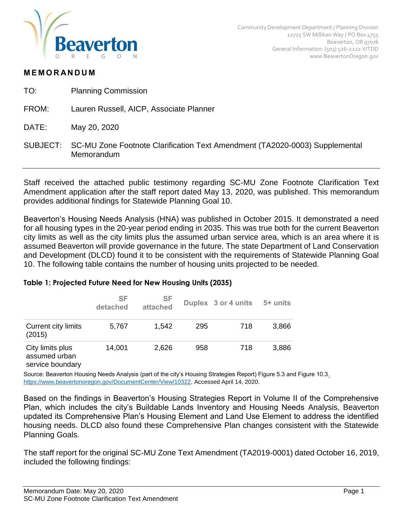

## **M E M O R AN D U M**

- TO: Planning Commission
- FROM: Lauren Russell, AICP, Associate Planner
- DATE: May 20, 2020
- SUBJECT: SC-MU Zone Footnote Clarification Text Amendment (TA2020-0003) Supplemental Memorandum

Staff received the attached public testimony regarding SC-MU Zone Footnote Clarification Text Amendment application after the staff report dated May 13, 2020, was published. This memorandum provides additional findings for Statewide Planning Goal 10.

Beaverton's Housing Needs Analysis (HNA) was published in October 2015. It demonstrated a need for all housing types in the 20-year period ending in 2035. This was true both for the current Beaverton city limits as well as the city limits plus the assumed urban service area, which is an area where it is assumed Beaverton will provide governance in the future. The state Department of Land Conservation and Development (DLCD) found it to be consistent with the requirements of Statewide Planning Goal 10. The following table contains the number of housing units projected to be needed.

## **Table 1: Projected Future Need for New Housing Units (2035)**

|                                                                             | <b>SF</b><br>detached | <b>SF</b><br>attached |     | Duplex 3 or 4 units | 5+ units |
|-----------------------------------------------------------------------------|-----------------------|-----------------------|-----|---------------------|----------|
| <b>Current city limits</b><br>(2015)                                        | 5,767                 | 1,542                 | 295 | 718                 | 3,866    |
| City limits plus<br>assumed urban<br>المستواء وبالمستحيل والمستلم والمستورة | 14,001                | 2,626                 | 958 | 718                 | 3,886    |

service boundary

Source: Beaverton Housing Needs Analysis (part of the city's Housing Strategies Report) Figure 5.3 and Figure 10.[3.](https://www.beavertonoregon.gov/DocumentCenter/View/10322)  [https://www.beavertonoregon.gov/DocumentCenter/View/10322.](https://www.beavertonoregon.gov/DocumentCenter/View/10322) Accessed April 14, 2020.

Based on the findings in Beaverton's Housing Strategies Report in Volume II of the Comprehensive Plan, which includes the city's Buildable Lands Inventory and Housing Needs Analysis, Beaverton updated its Comprehensive Plan's Housing Element and Land Use Element to address the identified housing needs. DLCD also found these Comprehensive Plan changes consistent with the Statewide Planning Goals.

The staff report for the original SC-MU Zone Text Amendment (TA2019-0001) dated October 16, 2019, included the following findings: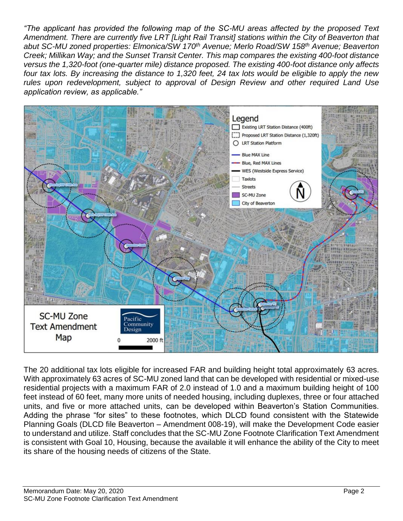*"The applicant has provided the following map of the SC-MU areas affected by the proposed Text Amendment. There are currently five LRT [Light Rail Transit] stations within the City of Beaverton that abut SC-MU zoned properties: Elmonica/SW 170th Avenue; Merlo Road/SW 158th Avenue; Beaverton Creek; Millikan Way; and the Sunset Transit Center. This map compares the existing 400-foot distance versus the 1,320-foot (one-quarter mile) distance proposed. The existing 400-foot distance only affects four tax lots. By increasing the distance to 1,320 feet, 24 tax lots would be eligible to apply the new rules upon redevelopment, subject to approval of Design Review and other required Land Use application review, as applicable."*



The 20 additional tax lots eligible for increased FAR and building height total approximately 63 acres. With approximately 63 acres of SC-MU zoned land that can be developed with residential or mixed-use residential projects with a maximum FAR of 2.0 instead of 1.0 and a maximum building height of 100 feet instead of 60 feet, many more units of needed housing, including duplexes, three or four attached units, and five or more attached units, can be developed within Beaverton's Station Communities. Adding the phrase "for sites" to these footnotes, which DLCD found consistent with the Statewide Planning Goals (DLCD file Beaverton – Amendment 008-19), will make the Development Code easier to understand and utilize. Staff concludes that the SC-MU Zone Footnote Clarification Text Amendment is consistent with Goal 10, Housing, because the available it will enhance the ability of the City to meet its share of the housing needs of citizens of the State.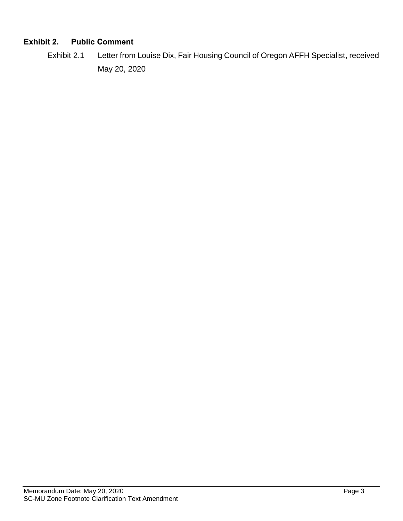## **Exhibit 2. Public Comment**

Exhibit 2.1 Letter from Louise Dix, Fair Housing Council of Oregon AFFH Specialist, received May 20, 2020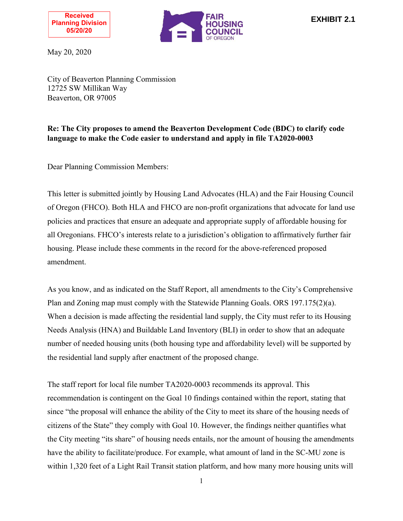



May 20, 2020

City of Beaverton Planning Commission 12725 SW Millikan Way Beaverton, OR 97005

## **Re: The City proposes to amend the Beaverton Development Code (BDC) to clarify code language to make the Code easier to understand and apply in file TA2020-0003**

Dear Planning Commission Members:

This letter is submitted jointly by Housing Land Advocates (HLA) and the Fair Housing Council of Oregon (FHCO). Both HLA and FHCO are non-profit organizations that advocate for land use policies and practices that ensure an adequate and appropriate supply of affordable housing for all Oregonians. FHCO's interests relate to a jurisdiction's obligation to affirmatively further fair housing. Please include these comments in the record for the above-referenced proposed amendment.

As you know, and as indicated on the Staff Report, all amendments to the City's Comprehensive Plan and Zoning map must comply with the Statewide Planning Goals. ORS 197.175(2)(a). When a decision is made affecting the residential land supply, the City must refer to its Housing Needs Analysis (HNA) and Buildable Land Inventory (BLI) in order to show that an adequate number of needed housing units (both housing type and affordability level) will be supported by the residential land supply after enactment of the proposed change.

The staff report for local file number TA2020-0003 recommends its approval. This recommendation is contingent on the Goal 10 findings contained within the report, stating that since "the proposal will enhance the ability of the City to meet its share of the housing needs of citizens of the State" they comply with Goal 10. However, the findings neither quantifies what the City meeting "its share" of housing needs entails, nor the amount of housing the amendments have the ability to facilitate/produce. For example, what amount of land in the SC-MU zone is within 1,320 feet of a Light Rail Transit station platform, and how many more housing units will